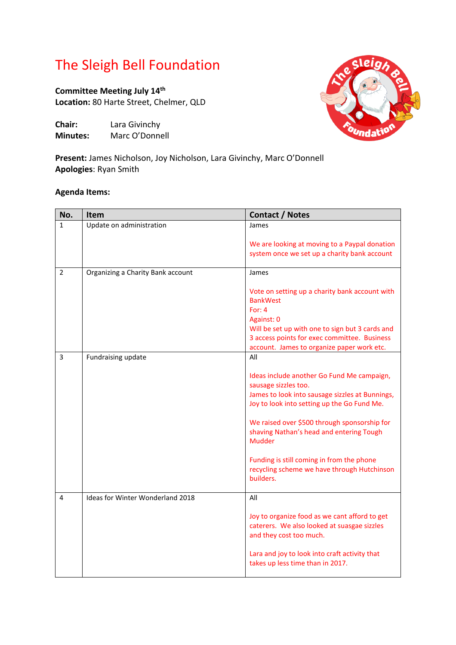## The Sleigh Bell Foundation

**Committee Meeting July 14 th Location:** 80 Harte Street, Chelmer, QLD

**Chair:** Lara Givinchy **Minutes:** Marc O'Donnell



**Present:** James Nicholson, Joy Nicholson, Lara Givinchy, Marc O'Donnell **Apologies**: Ryan Smith

## **Agenda Items:**

| James<br>We are looking at moving to a Paypal donation                                                                                                                                                                                                                                                                                                                                     |
|--------------------------------------------------------------------------------------------------------------------------------------------------------------------------------------------------------------------------------------------------------------------------------------------------------------------------------------------------------------------------------------------|
|                                                                                                                                                                                                                                                                                                                                                                                            |
| system once we set up a charity bank account                                                                                                                                                                                                                                                                                                                                               |
| James                                                                                                                                                                                                                                                                                                                                                                                      |
| Vote on setting up a charity bank account with<br><b>BankWest</b><br>For: $4$<br>Against: 0<br>Will be set up with one to sign but 3 cards and<br>3 access points for exec committee. Business<br>account. James to organize paper work etc.                                                                                                                                               |
| All                                                                                                                                                                                                                                                                                                                                                                                        |
| Ideas include another Go Fund Me campaign,<br>sausage sizzles too.<br>James to look into sausage sizzles at Bunnings,<br>Joy to look into setting up the Go Fund Me.<br>We raised over \$500 through sponsorship for<br>shaving Nathan's head and entering Tough<br><b>Mudder</b><br>Funding is still coming in from the phone<br>recycling scheme we have through Hutchinson<br>builders. |
| All<br>Joy to organize food as we cant afford to get<br>caterers. We also looked at suasgae sizzles<br>and they cost too much.<br>Lara and joy to look into craft activity that<br>takes up less time than in 2017.                                                                                                                                                                        |
|                                                                                                                                                                                                                                                                                                                                                                                            |